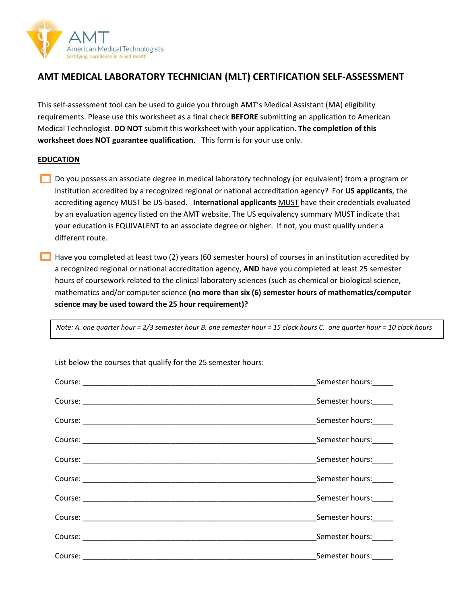

## **AMT MEDICAL LABORATORY TECHNICIAN (MLT) CERTIFICATION SELF-ASSESSMENT**

This self-assessment tool can be used to guide you through AMT's Medical Assistant (MA) eligibility requirements. Please use this worksheet as a final check **BEFORE** submitting an application to American Medical Technologist. **DO NOT** submit this worksheet with your application. **The completion of this worksheet does NOT guarantee qualification**. This form is for your use only.

## **EDUCATION**

- Do you possess an associate degree in medical laboratory technology (or equivalent) from a program or institution accredited by a recognized regional or national accreditation agency? For **US applicants**, the accrediting agency MUST be US-based. **International applicants** MUST have their credentials evaluated by an evaluation agency listed on the AMT website. The US equivalency summary MUST indicate that your education is EQUIVALENT to an associate degree or higher. If not, you must qualify under a different route.
- $\Box$  Have you completed at least two (2) years (60 semester hours) of courses in an institution accredited by a recognized regional or national accreditation agency, **AND** have you completed at least 25 semester hours of coursework related to the clinical laboratory sciences (such as chemical or biological science, mathematics and/or computer science **(no more than six (6) semester hours of mathematics/computer science may be used toward the 25 hour requirement)?**

*Note: A. one quarter hour = 2/3 semester hour B. one semester hour = 15 clock hours C. one quarter hour = 10 clock hours*

| Semester hours:        |
|------------------------|
| Semester hours:        |
| Semester hours:        |
| _Semester hours:______ |
| Semester hours:        |
| Semester hours:        |
| Semester hours:        |
| Semester hours:        |
| Semester hours:        |
| Semester hours:        |

List below the courses that qualify for the 25 semester hours: